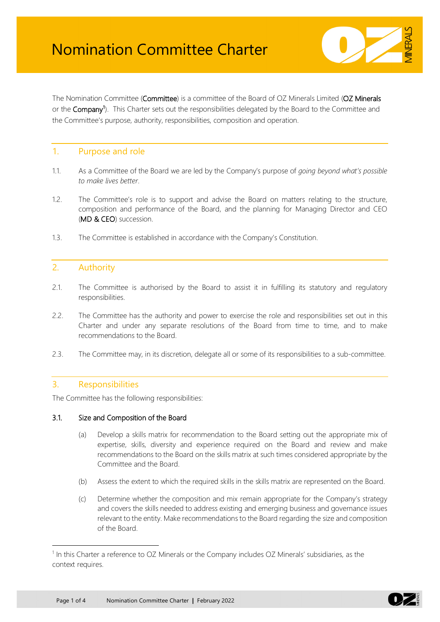

The Nomination Committee (Committee) is a committee of the Board of OZ Minerals Limited (OZ Minerals or the Company<sup>[1](#page-0-0)</sup>). This Charter sets out the responsibilities delegated by the Board to the Committee and the Committee's purpose, authority, responsibilities, composition and operation.

# 1. Purpose and role

- 1.1. As a Committee of the Board we are led by the Company's purpose of *going beyond what's possible to make lives better*.
- 1.2. The Committee's role is to support and advise the Board on matters relating to the structure, composition and performance of the Board, and the planning for Managing Director and CEO (MD & CEO) succession.
- 1.3. The Committee is established in accordance with the Company's Constitution.

# 2. Authority

- 2.1. The Committee is authorised by the Board to assist it in fulfilling its statutory and regulatory responsibilities.
- 2.2. The Committee has the authority and power to exercise the role and responsibilities set out in this Charter and under any separate resolutions of the Board from time to time, and to make recommendations to the Board.
- 2.3. The Committee may, in its discretion, delegate all or some of its responsibilities to a sub-committee.

## 3. Responsibilities

The Committee has the following responsibilities:

#### 3.1. Size and Composition of the Board

- (a) Develop a skills matrix for recommendation to the Board setting out the appropriate mix of expertise, skills, diversity and experience required on the Board and review and make recommendations to the Board on the skills matrix at such times considered appropriate by the Committee and the Board.
- (b) Assess the extent to which the required skills in the skills matrix are represented on the Board.
- (c) Determine whether the composition and mix remain appropriate for the Company's strategy and covers the skills needed to address existing and emerging business and governance issues relevant to the entity. Make recommendations to the Board regarding the size and composition of the Board.



<span id="page-0-0"></span> $1$  In this Charter a reference to OZ Minerals or the Company includes OZ Minerals' subsidiaries, as the context requires.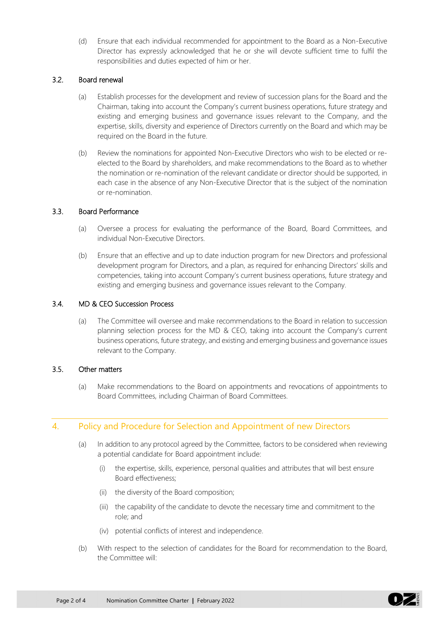(d) Ensure that each individual recommended for appointment to the Board as a Non-Executive Director has expressly acknowledged that he or she will devote sufficient time to fulfil the responsibilities and duties expected of him or her.

## 3.2. Board renewal

- (a) Establish processes for the development and review of succession plans for the Board and the Chairman, taking into account the Company's current business operations, future strategy and existing and emerging business and governance issues relevant to the Company, and the expertise, skills, diversity and experience of Directors currently on the Board and which may be required on the Board in the future.
- (b) Review the nominations for appointed Non-Executive Directors who wish to be elected or reelected to the Board by shareholders, and make recommendations to the Board as to whether the nomination or re-nomination of the relevant candidate or director should be supported, in each case in the absence of any Non-Executive Director that is the subject of the nomination or re-nomination.

#### 3.3. Board Performance

- (a) Oversee a process for evaluating the performance of the Board, Board Committees, and individual Non-Executive Directors.
- (b) Ensure that an effective and up to date induction program for new Directors and professional development program for Directors, and a plan, as required for enhancing Directors' skills and competencies, taking into account Company's current business operations, future strategy and existing and emerging business and governance issues relevant to the Company.

#### 3.4. MD & CEO Succession Process

(a) The Committee will oversee and make recommendations to the Board in relation to succession planning selection process for the MD & CEO, taking into account the Company's current business operations, future strategy, and existing and emerging business and governance issues relevant to the Company.

#### 3.5. Other matters

(a) Make recommendations to the Board on appointments and revocations of appointments to Board Committees, including Chairman of Board Committees.

## 4. Policy and Procedure for Selection and Appointment of new Directors

- (a) In addition to any protocol agreed by the Committee, factors to be considered when reviewing a potential candidate for Board appointment include:
	- (i) the expertise, skills, experience, personal qualities and attributes that will best ensure Board effectiveness;
	- (ii) the diversity of the Board composition;
	- (iii) the capability of the candidate to devote the necessary time and commitment to the role; and
	- (iv) potential conflicts of interest and independence.
- (b) With respect to the selection of candidates for the Board for recommendation to the Board, the Committee will:

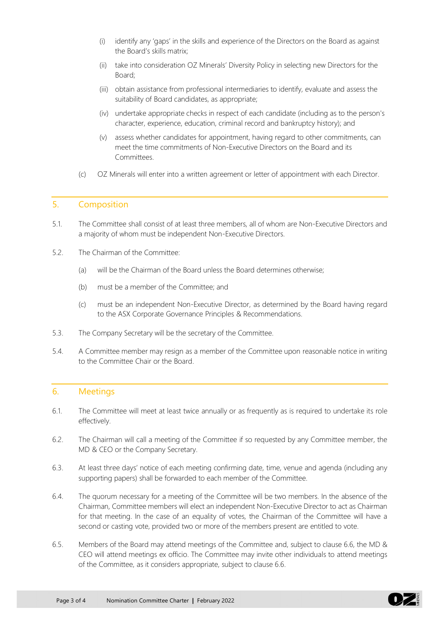- (i) identify any 'gaps' in the skills and experience of the Directors on the Board as against the Board's skills matrix;
- (ii) take into consideration OZ Minerals' Diversity Policy in selecting new Directors for the Board;
- (iii) obtain assistance from professional intermediaries to identify, evaluate and assess the suitability of Board candidates, as appropriate;
- (iv) undertake appropriate checks in respect of each candidate (including as to the person's character, experience, education, criminal record and bankruptcy history); and
- (v) assess whether candidates for appointment, having regard to other commitments, can meet the time commitments of Non-Executive Directors on the Board and its Committees.
- (c) OZ Minerals will enter into a written agreement or letter of appointment with each Director.

## 5. Composition

- 5.1. The Committee shall consist of at least three members, all of whom are Non-Executive Directors and a majority of whom must be independent Non-Executive Directors.
- 5.2. The Chairman of the Committee:
	- (a) will be the Chairman of the Board unless the Board determines otherwise;
	- (b) must be a member of the Committee; and
	- (c) must be an independent Non-Executive Director, as determined by the Board having regard to the ASX Corporate Governance Principles & Recommendations.
- 5.3. The Company Secretary will be the secretary of the Committee.
- 5.4. A Committee member may resign as a member of the Committee upon reasonable notice in writing to the Committee Chair or the Board.

## 6. Meetings

- 6.1. The Committee will meet at least twice annually or as frequently as is required to undertake its role effectively.
- 6.2. The Chairman will call a meeting of the Committee if so requested by any Committee member, the MD & CEO or the Company Secretary.
- 6.3. At least three days' notice of each meeting confirming date, time, venue and agenda (including any supporting papers) shall be forwarded to each member of the Committee.
- 6.4. The quorum necessary for a meeting of the Committee will be two members. In the absence of the Chairman, Committee members will elect an independent Non-Executive Director to act as Chairman for that meeting. In the case of an equality of votes, the Chairman of the Committee will have a second or casting vote, provided two or more of the members present are entitled to vote.
- 6.5. Members of the Board may attend meetings of the Committee and, subject to clause [6.6,](#page-3-0) the MD & CEO will attend meetings ex officio. The Committee may invite other individuals to attend meetings of the Committee, as it considers appropriate, subject to clause [6.6.](#page-3-0)